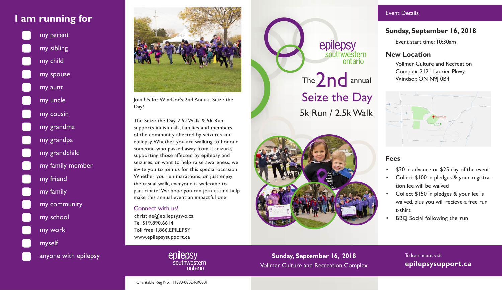my parent my grandpa my school my child my uncle my family myself my sibling my aunt my friend my work my grandma my cousin my community my grandchild my spouse my family member

anyone with epilepsy



Join Us for Windsor's 2nd Annual Seize the Day!

The Seize the Day 2.5k Walk & 5k Run supports individuals, families and members of the community affected by seizures and epilepsy. Whether you are walking to honour someone who passed away from a seizure, supporting those affected by epilepsy and seizures, or want to help raise awareness, we invite you to join us for this special occasion. Whether you run marathons, or just enjoy the casual walk, everyone is welcome to participate! We hope you can join us and help make this annual event an impactful one.

#### Connect with us!

christine@epilepsyswo.ca Tel 519.890.6614 Toll free 1.866.EPILEPSY www.epilepsysupport.ca

epilepsy southwestern ontario The **2nd** annual Seize the Day 5k Run / 2.5k Walk



### **Sunday, September 16, 2018**

Event start time: 10:30am

### **New Location**

Vollmer Culture and Recreation Complex, 2121 Laurier Pkwy, Windsor, ON N9J 0B4



#### **Fees**

- \$20 in advance or \$25 day of the event
- Collect \$100 in pledges & your registration fee will be waived
- Collect \$150 in pledges & your fee is waived, plus you will recieve a free run t-shirt
- BBQ Social following the run

To learn more, visit **epilepsysupport.ca**

epilensy thwestern ontario

Vollmer Culture and Recreation Complex **Sunday, September 16, 2018**

Charitable Reg No. : 11890-0802-RR0001